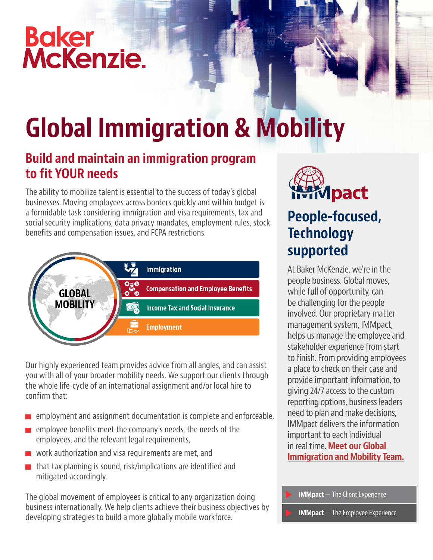# Baker<br>McKenzie.



# Global Immigration & Mobility

### Build and maintain an immigration program to fit YOUR needs

The ability to mobilize talent is essential to the success of today's global businesses. Moving employees across borders quickly and within budget is a formidable task considering immigration and visa requirements, tax and social security implications, data privacy mandates, employment rules, stock benefits and compensation issues, and FCPA restrictions.



Our highly experienced team provides advice from all angles, and can assist you with all of your broader mobility needs. We support our clients through the whole life-cycle of an international assignment and/or local hire to confirm that:

- employment and assignment documentation is complete and enforceable,
- $\blacksquare$  employee benefits meet the company's needs, the needs of the employees, and the relevant legal requirements,
- **work authorization and visa requirements are met, and**
- $\blacksquare$  that tax planning is sound, risk/implications are identified and mitigated accordingly.

The global movement of employees is critical to any organization doing business internationally. We help clients achieve their business objectives by developing strategies to build a more globally mobile workforce.



## People-focused, **Technology** supported

At Baker McKenzie, we're in the people business. Global moves, while full of opportunity, can be challenging for the people involved. Our proprietary matter management system, IMMpact, helps us manage the employee and stakeholder experience from start to finish. From providing employees a place to check on their case and provide important information, to giving 24/7 access to the custom reporting options, business leaders need to plan and make decisions, IMMpact delivers the information important to each individual in real time. **Meet our Global** [Immigration and Mobility Team.](https://video.bakermckenzie.com/embed?id=c6038672-8aee-417f-a634-522af9a3a826)

IMMpact — The Employee Experience IMMpact — The Client Experience